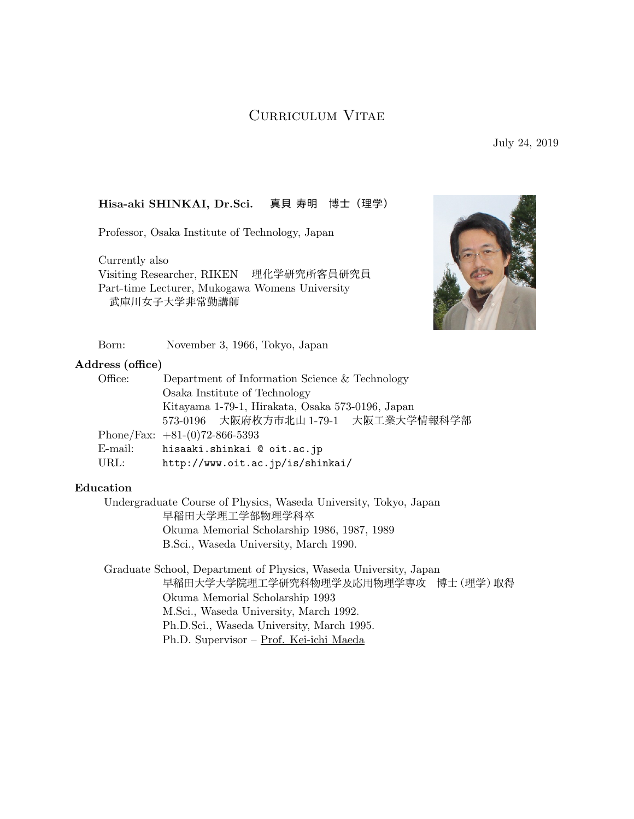# Curriculum Vitae

July 24, 2019

## **Hisa-aki SHINKAI, Dr.Sci.** 真貝 寿明 博士(理学)

Professor, Osaka Institute of Technology, Japan

Currently also Visiting Researcher, RIKEN 理化学研究所客員研究員 Part-time Lecturer, Mukogawa Womens University 武庫川女子大学非常勤講師



Born: November 3, 1966, Tokyo, Japan

### **Address (office)**

| Office: | Department of Information Science $&$ Technology |
|---------|--------------------------------------------------|
|         | Osaka Institute of Technology                    |
|         | Kitayama 1-79-1, Hirakata, Osaka 573-0196, Japan |
|         | 573-0196 大阪府枚方市北山 1-79-1 大阪工業大学情報科学部             |
|         | Phone/Fax: $+81-(0)72-866-5393$                  |
| E-mail: | hisaaki.shinkai @ oit.ac.jp                      |
| URL:    | http://www.oit.ac.jp/is/shinkai/                 |

### **Education**

Undergraduate Course of Physics, Waseda University, Tokyo, Japan 早稲田大学理工学部物理学科卒 Okuma Memorial Scholarship 1986, 1987, 1989 B.Sci., Waseda University, March 1990.

Graduate School, Department of Physics, Waseda University, Japan 早稲田大学大学院理工学研究科物理学及応用物理学専攻 博士(理学)取得 Okuma Memorial Scholarship 1993 M.Sci., Waseda University, March 1992. Ph.D.Sci., Waseda University, March 1995. Ph.D. Supervisor – Prof. Kei-ichi Maeda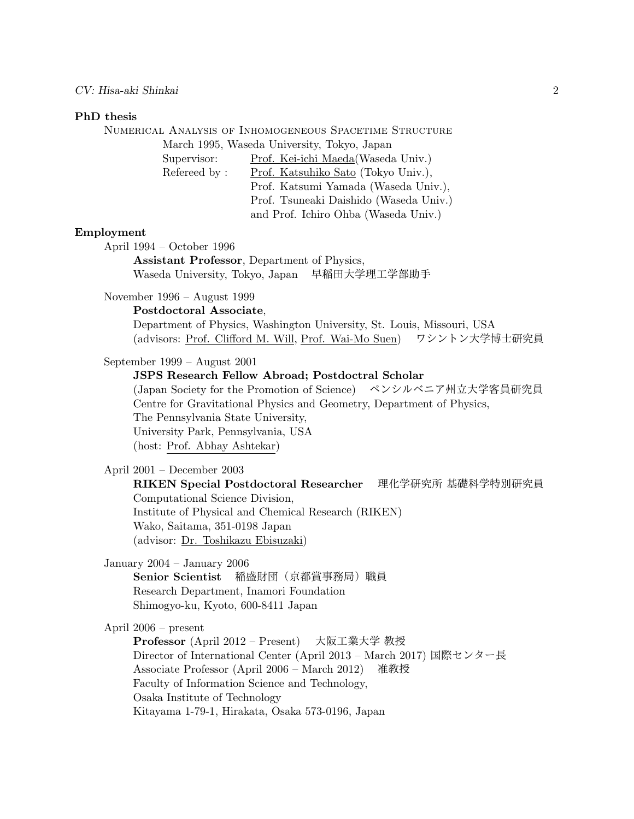#### *CV: Hisa-aki Shinkai* 2

#### **PhD thesis**

Numerical Analysis of Inhomogeneous Spacetime Structure March 1995, Waseda University, Tokyo, Japan Supervisor: Prof. Kei-ichi Maeda(Waseda Univ.) Refereed by : Prof. Katsuhiko Sato (Tokyo Univ.), Prof. Katsumi Yamada (Waseda Univ.), Prof. Tsuneaki Daishido (Waseda Univ.) and Prof. Ichiro Ohba (Waseda Univ.) **Employment** April 1994 – October 1996 **Assistant Professor**, Department of Physics, Waseda University, Tokyo, Japan 早稲田大学理工学部助手 November 1996 – August 1999 **Postdoctoral Associate**, Department of Physics, Washington University, St. Louis, Missouri, USA (advisors: Prof. Clifford M. Will, Prof. Wai-Mo Suen) ワシントン大学博士研究員

September 1999 – August 2001

**JSPS Research Fellow Abroad; Postdoctral Scholar**

(Japan Society for the Promotion of Science) ペンシルベニア州立大学客員研究員 Centre for Gravitational Physics and Geometry, Department of Physics, The Pennsylvania State University, University Park, Pennsylvania, USA (host: Prof. Abhay Ashtekar)

April 2001 – December 2003

**RIKEN Special Postdoctoral Researcher** 理化学研究所 基礎科学特別研究員 Computational Science Division, Institute of Physical and Chemical Research (RIKEN) Wako, Saitama, 351-0198 Japan (advisor: Dr. Toshikazu Ebisuzaki)

January 2004 – January 2006

**Senior Scientist** 稲盛財団(京都賞事務局)職員 Research Department, Inamori Foundation Shimogyo-ku, Kyoto, 600-8411 Japan

April 2006 – present

**Professor** (April 2012 – Present) 大阪工業大学 教授 Director of International Center (April 2013 – March 2017) 国際センター長 Associate Professor (April 2006 – March 2012) 准教授 Faculty of Information Science and Technology, Osaka Institute of Technology Kitayama 1-79-1, Hirakata, Osaka 573-0196, Japan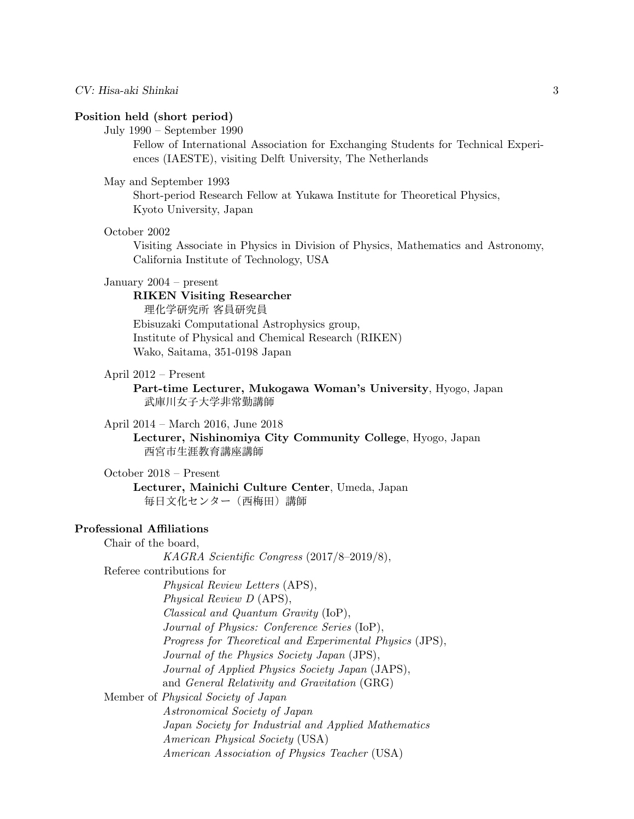#### **Position held (short period)**

July 1990 – September 1990

Fellow of International Association for Exchanging Students for Technical Experiences (IAESTE), visiting Delft University, The Netherlands

### May and September 1993

Short-period Research Fellow at Yukawa Institute for Theoretical Physics, Kyoto University, Japan

#### October 2002

Visiting Associate in Physics in Division of Physics, Mathematics and Astronomy, California Institute of Technology, USA

#### January 2004 – present

**RIKEN Visiting Researcher** 理化学研究所 客員研究員 Ebisuzaki Computational Astrophysics group, Institute of Physical and Chemical Research (RIKEN) Wako, Saitama, 351-0198 Japan

### April 2012 – Present

**Part-time Lecturer, Mukogawa Woman's University**, Hyogo, Japan 武庫川女子大学非常勤講師

April 2014 – March 2016, June 2018

**Lecturer, Nishinomiya City Community College**, Hyogo, Japan 西宮市生涯教育講座講師

October 2018 – Present **Lecturer, Mainichi Culture Center**, Umeda, Japan

毎日文化センター(西梅田)講師

### **Professional Affiliations**

Chair of the board, *KAGRA Scientific Congress* (2017/8–2019/8), Referee contributions for *Physical Review Letters* (APS), *Physical Review D* (APS), *Classical and Quantum Gravity* (IoP), *Journal of Physics: Conference Series* (IoP), *Progress for Theoretical and Experimental Physics* (JPS), *Journal of the Physics Society Japan* (JPS), *Journal of Applied Physics Society Japan* (JAPS), and *General Relativity and Gravitation* (GRG) Member of *Physical Society of Japan Astronomical Society of Japan Japan Society for Industrial and Applied Mathematics American Physical Society* (USA) *American Association of Physics Teacher* (USA)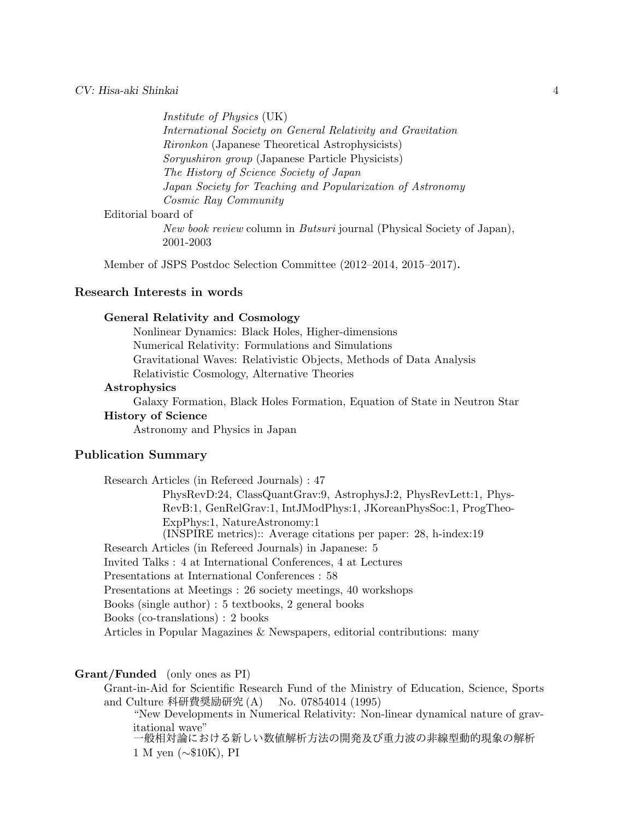#### *CV: Hisa-aki Shinkai* 4

*Institute of Physics* (UK) *International Society on General Relativity and Gravitation Rironkon* (Japanese Theoretical Astrophysicists) *Soryushiron group* (Japanese Particle Physicists) *The History of Science Society of Japan Japan Society for Teaching and Popularization of Astronomy Cosmic Ray Community* Editorial board of *New book review* column in *Butsuri* journal (Physical Society of Japan),

2001-2003

Member of JSPS Postdoc Selection Committee (2012–2014, 2015–2017).

### **Research Interests in words**

#### **General Relativity and Cosmology**

Nonlinear Dynamics: Black Holes, Higher-dimensions Numerical Relativity: Formulations and Simulations Gravitational Waves: Relativistic Objects, Methods of Data Analysis Relativistic Cosmology, Alternative Theories

### **Astrophysics**

Galaxy Formation, Black Holes Formation, Equation of State in Neutron Star

### **History of Science**

Astronomy and Physics in Japan

### **Publication Summary**

Research Articles (in Refereed Journals) : 47 PhysRevD:24, ClassQuantGrav:9, AstrophysJ:2, PhysRevLett:1, Phys-RevB:1, GenRelGrav:1, IntJModPhys:1, JKoreanPhysSoc:1, ProgTheo-ExpPhys:1, NatureAstronomy:1 (INSPIRE metrics):: Average citations per paper: 28, h-index:19 Research Articles (in Refereed Journals) in Japanese: 5 Invited Talks : 4 at International Conferences, 4 at Lectures Presentations at International Conferences : 58 Presentations at Meetings : 26 society meetings, 40 workshops Books (single author) : 5 textbooks, 2 general books Books (co-translations) : 2 books Articles in Popular Magazines & Newspapers, editorial contributions: many

#### **Grant/Funded** (only ones as PI)

Grant-in-Aid for Scientific Research Fund of the Ministry of Education, Science, Sports and Culture 科研費奨励研究 (A) No. 07854014 (1995)

"New Developments in Numerical Relativity: Non-linear dynamical nature of gravitational wave"

一般相対論における新しい数値解析方法の開発及び重力波の非線型動的現象の解析 1 M yen (*∼*\$10K), PI